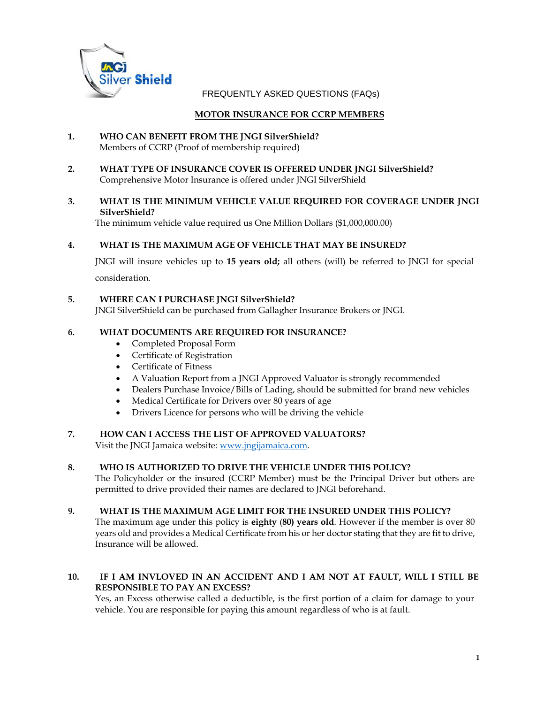

FREQUENTLY ASKED QUESTIONS (FAQs)

## **MOTOR INSURANCE FOR CCRP MEMBERS**

- **1. WHO CAN BENEFIT FROM THE JNGI SilverShield?** Members of CCRP (Proof of membership required)
- **2. WHAT TYPE OF INSURANCE COVER IS OFFERED UNDER JNGI SilverShield?** Comprehensive Motor Insurance is offered under JNGI SilverShield

### **3. WHAT IS THE MINIMUM VEHICLE VALUE REQUIRED FOR COVERAGE UNDER JNGI SilverShield?**

The minimum vehicle value required us One Million Dollars (\$1,000,000.00)

## **4. WHAT IS THE MAXIMUM AGE OF VEHICLE THAT MAY BE INSURED?**

JNGI will insure vehicles up to **15 years old;** all others (will) be referred to JNGI for special consideration.

### **5. WHERE CAN I PURCHASE JNGI SilverShield?**

JNGI SilverShield can be purchased from Gallagher Insurance Brokers or JNGI.

### **6. WHAT DOCUMENTS ARE REQUIRED FOR INSURANCE?**

- Completed Proposal Form
- Certificate of Registration
- Certificate of Fitness
- A Valuation Report from a JNGI Approved Valuator is strongly recommended
- Dealers Purchase Invoice/Bills of Lading, should be submitted for brand new vehicles
- Medical Certificate for Drivers over 80 years of age
- Drivers Licence for persons who will be driving the vehicle

#### **7. HOW CAN I ACCESS THE LIST OF APPROVED VALUATORS?** Visit the JNGI Jamaica website: www.jngijamaica.com.

#### **8. WHO IS AUTHORIZED TO DRIVE THE VEHICLE UNDER THIS POLICY?**

The Policyholder or the insured (CCRP Member) must be the Principal Driver but others are permitted to drive provided their names are declared to JNGI beforehand.

#### **9. WHAT IS THE MAXIMUM AGE LIMIT FOR THE INSURED UNDER THIS POLICY?**

The maximum age under this policy is **eighty** (**80) years old**. However if the member is over 80 years old and provides a Medical Certificate from his or her doctor stating that they are fit to drive, Insurance will be allowed.

## **10. IF I AM INVLOVED IN AN ACCIDENT AND I AM NOT AT FAULT, WILL I STILL BE RESPONSIBLE TO PAY AN EXCESS?**

Yes, an Excess otherwise called a deductible, is the first portion of a claim for damage to your vehicle. You are responsible for paying this amount regardless of who is at fault.